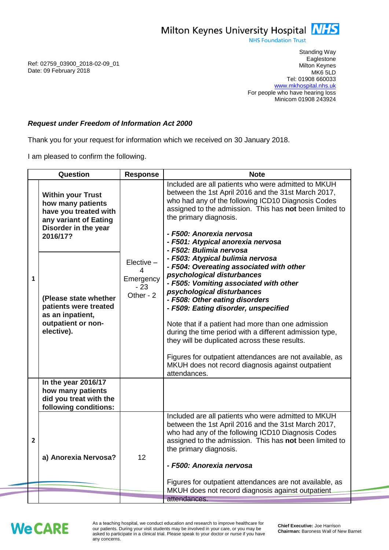Milton Keynes University Hospital **NHS** 

**NHS Foundation Trust** 

Ref: 02759\_03900\_2018-02-09\_01 Date: 09 February 2018

Standing Way **Eaglestone** Milton Keynes MK6 5LD Tel: 01908 660033 [www.mkhospital.nhs.uk](http://www.mkhospital.nhs.uk/) For people who have hearing loss Minicom 01908 243924

## *Request under Freedom of Information Act 2000*

Thank you for your request for information which we received on 30 January 2018.

I am pleased to confirm the following.

| Question                                                                                                                            |                                                                                          | Response                                             | <b>Note</b>                                                                                                                                                                                                                                                                                                                                                                                                                                                                                                                                                     |
|-------------------------------------------------------------------------------------------------------------------------------------|------------------------------------------------------------------------------------------|------------------------------------------------------|-----------------------------------------------------------------------------------------------------------------------------------------------------------------------------------------------------------------------------------------------------------------------------------------------------------------------------------------------------------------------------------------------------------------------------------------------------------------------------------------------------------------------------------------------------------------|
| <b>Within your Trust</b><br>how many patients<br>have you treated with<br>any variant of Eating<br>Disorder in the year<br>2016/17? |                                                                                          | $Elective -$<br>4<br>Emergency<br>$-23$<br>Other - 2 | Included are all patients who were admitted to MKUH<br>between the 1st April 2016 and the 31st March 2017,<br>who had any of the following ICD10 Diagnosis Codes<br>assigned to the admission. This has not been limited to<br>the primary diagnosis.<br>- F500: Anorexia nervosa<br>- F501: Atypical anorexia nervosa<br>- F502: Bulimia nervosa                                                                                                                                                                                                               |
| $\mathbf{1}$<br>elective).                                                                                                          | (Please state whether<br>patients were treated<br>as an inpatient,<br>outpatient or non- |                                                      | - F503: Atypical bulimia nervosa<br>- F504: Overeating associated with other<br>psychological disturbances<br>- F505: Vomiting associated with other<br>psychological disturbances<br>- F508: Other eating disorders<br>- F509: Eating disorder, unspecified<br>Note that if a patient had more than one admission<br>during the time period with a different admission type,<br>they will be duplicated across these results.<br>Figures for outpatient attendances are not available, as<br>MKUH does not record diagnosis against outpatient<br>attendances. |
| In the year 2016/17<br>how many patients<br>did you treat with the<br>following conditions:                                         |                                                                                          |                                                      |                                                                                                                                                                                                                                                                                                                                                                                                                                                                                                                                                                 |
| $\overline{2}$<br>a) Anorexia Nervosa?                                                                                              |                                                                                          | 12                                                   | Included are all patients who were admitted to MKUH<br>between the 1st April 2016 and the 31st March 2017,<br>who had any of the following ICD10 Diagnosis Codes<br>assigned to the admission. This has not been limited to<br>the primary diagnosis.<br>- F500: Anorexia nervosa<br>Figures for outpatient attendances are not available, as<br>MKUH does not record diagnosis against outpatient.                                                                                                                                                             |
|                                                                                                                                     |                                                                                          |                                                      | attendances.                                                                                                                                                                                                                                                                                                                                                                                                                                                                                                                                                    |

## **We CARE**

As a teaching hospital, we conduct education and research to improve healthcare for our patients. During your visit students may be involved in your care, or you may be asked to participate in a clinical trial. Please speak to your doctor or nurse if you have any concerns.